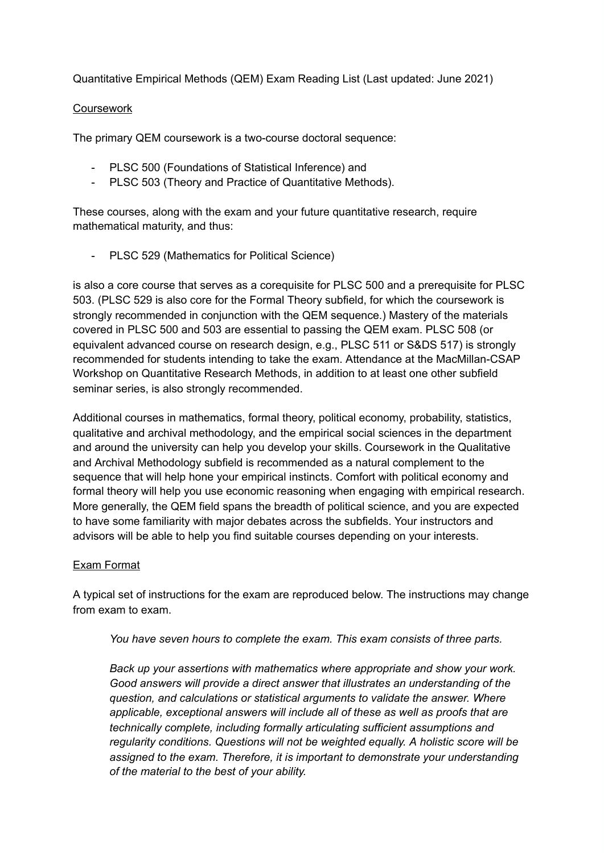Quantitative Empirical Methods (QEM) Exam Reading List (Last updated: June 2021)

## **Coursework**

The primary QEM coursework is a two-course doctoral sequence:

- PLSC 500 (Foundations of Statistical Inference) and
- PLSC 503 (Theory and Practice of Quantitative Methods).

These courses, along with the exam and your future quantitative research, require mathematical maturity, and thus:

- PLSC 529 (Mathematics for Political Science)

is also a core course that serves as a corequisite for PLSC 500 and a prerequisite for PLSC 503. (PLSC 529 is also core for the Formal Theory subfield, for which the coursework is strongly recommended in conjunction with the QEM sequence.) Mastery of the materials covered in PLSC 500 and 503 are essential to passing the QEM exam. PLSC 508 (or equivalent advanced course on research design, e.g., PLSC 511 or S&DS 517) is strongly recommended for students intending to take the exam. Attendance at the MacMillan-CSAP Workshop on Quantitative Research Methods, in addition to at least one other subfield seminar series, is also strongly recommended.

Additional courses in mathematics, formal theory, political economy, probability, statistics, qualitative and archival methodology, and the empirical social sciences in the department and around the university can help you develop your skills. Coursework in the Qualitative and Archival Methodology subfield is recommended as a natural complement to the sequence that will help hone your empirical instincts. Comfort with political economy and formal theory will help you use economic reasoning when engaging with empirical research. More generally, the QEM field spans the breadth of political science, and you are expected to have some familiarity with major debates across the subfields. Your instructors and advisors will be able to help you find suitable courses depending on your interests.

## Exam Format

A typical set of instructions for the exam are reproduced below. The instructions may change from exam to exam.

*You have seven hours to complete the exam. This exam consists of three parts.*

*Back up your assertions with mathematics where appropriate and show your work. Good answers will provide a direct answer that illustrates an understanding of the question, and calculations or statistical arguments to validate the answer. Where applicable, exceptional answers will include all of these as well as proofs that are technically complete, including formally articulating sufficient assumptions and regularity conditions. Questions will not be weighted equally. A holistic score will be assigned to the exam. Therefore, it is important to demonstrate your understanding of the material to the best of your ability.*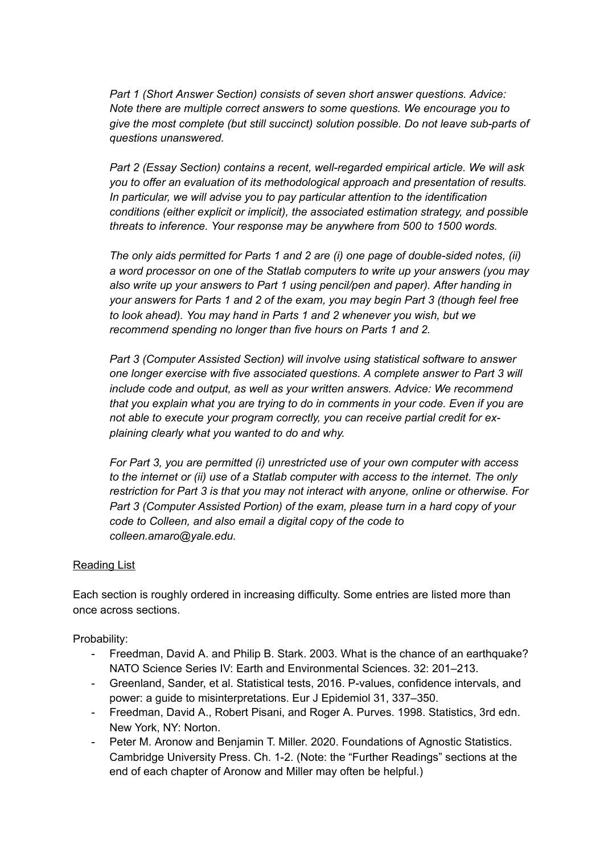*Part 1 (Short Answer Section) consists of seven short answer questions. Advice: Note there are multiple correct answers to some questions. We encourage you to give the most complete (but still succinct) solution possible. Do not leave sub-parts of questions unanswered.*

*Part 2 (Essay Section) contains a recent, well-regarded empirical article. We will ask you to offer an evaluation of its methodological approach and presentation of results. In particular, we will advise you to pay particular attention to the identification conditions (either explicit or implicit), the associated estimation strategy, and possible threats to inference. Your response may be anywhere from 500 to 1500 words.*

*The only aids permitted for Parts 1 and 2 are (i) one page of double-sided notes, (ii) a word processor on one of the Statlab computers to write up your answers (you may also write up your answers to Part 1 using pencil/pen and paper). After handing in your answers for Parts 1 and 2 of the exam, you may begin Part 3 (though feel free to look ahead). You may hand in Parts 1 and 2 whenever you wish, but we recommend spending no longer than five hours on Parts 1 and 2.*

*Part 3 (Computer Assisted Section) will involve using statistical software to answer one longer exercise with five associated questions. A complete answer to Part 3 will include code and output, as well as your written answers. Advice: We recommend that you explain what you are trying to do in comments in your code. Even if you are not able to execute your program correctly, you can receive partial credit for explaining clearly what you wanted to do and why.*

*For Part 3, you are permitted (i) unrestricted use of your own computer with access to the internet or (ii) use of a Statlab computer with access to the internet. The only restriction for Part 3 is that you may not interact with anyone, online or otherwise. For Part 3 (Computer Assisted Portion) of the exam, please turn in a hard copy of your code to Colleen, and also email a digital copy of the code to colleen.amaro@yale.edu.*

## Reading List

Each section is roughly ordered in increasing difficulty. Some entries are listed more than once across sections.

Probability:

- Freedman, David A. and Philip B. Stark. 2003. What is the chance of an earthquake? NATO Science Series IV: Earth and Environmental Sciences. 32: 201–213.
- Greenland, Sander, et al. Statistical tests, 2016. P-values, confidence intervals, and power: a guide to misinterpretations. Eur J Epidemiol 31, 337–350.
- Freedman, David A., Robert Pisani, and Roger A. Purves. 1998. Statistics, 3rd edn. New York, NY: Norton.
- Peter M. Aronow and Benjamin T. Miller. 2020. Foundations of Agnostic Statistics. Cambridge University Press. Ch. 1-2. (Note: the "Further Readings" sections at the end of each chapter of Aronow and Miller may often be helpful.)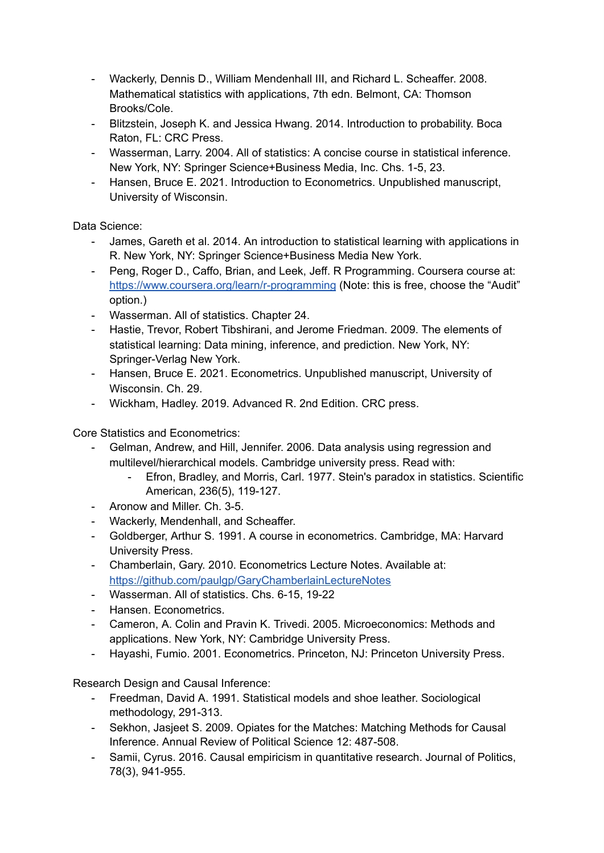- Wackerly, Dennis D., William Mendenhall III, and Richard L. Scheaffer. 2008. Mathematical statistics with applications, 7th edn. Belmont, CA: Thomson Brooks/Cole.
- Blitzstein, Joseph K. and Jessica Hwang. 2014. Introduction to probability. Boca Raton, FL: CRC Press.
- Wasserman, Larry. 2004. All of statistics: A concise course in statistical inference. New York, NY: Springer Science+Business Media, Inc. Chs. 1-5, 23.
- Hansen, Bruce E. 2021. Introduction to Econometrics. Unpublished manuscript, University of Wisconsin.

Data Science:

- James, Gareth et al. 2014. An introduction to statistical learning with applications in R. New York, NY: Springer Science+Business Media New York.
- Peng, Roger D., Caffo, Brian, and Leek, Jeff. R Programming. Coursera course at: <https://www.coursera.org/learn/r-programming> (Note: this is free, choose the "Audit" option.)
- Wasserman. All of statistics. Chapter 24.
- Hastie, Trevor, Robert Tibshirani, and Jerome Friedman. 2009. The elements of statistical learning: Data mining, inference, and prediction. New York, NY: Springer-Verlag New York.
- Hansen, Bruce E. 2021. Econometrics. Unpublished manuscript, University of Wisconsin. Ch. 29.
- Wickham, Hadley. 2019. Advanced R. 2nd Edition. CRC press.

Core Statistics and Econometrics:

- Gelman, Andrew, and Hill, Jennifer. 2006. Data analysis using regression and multilevel/hierarchical models. Cambridge university press. Read with:
	- Efron, Bradley, and Morris, Carl. 1977. Stein's paradox in statistics. Scientific American, 236(5), 119-127.
- Aronow and Miller. Ch. 3-5.
- Wackerly, Mendenhall, and Scheaffer.
- Goldberger, Arthur S. 1991. A course in econometrics. Cambridge, MA: Harvard University Press.
- Chamberlain, Gary. 2010. Econometrics Lecture Notes. Available at: <https://github.com/paulgp/GaryChamberlainLectureNotes>
- Wasserman. All of statistics. Chs. 6-15, 19-22
- Hansen. Econometrics.
- Cameron, A. Colin and Pravin K. Trivedi. 2005. Microeconomics: Methods and applications. New York, NY: Cambridge University Press.
- Hayashi, Fumio. 2001. Econometrics. Princeton, NJ: Princeton University Press.

Research Design and Causal Inference:

- Freedman, David A. 1991. Statistical models and shoe leather. Sociological methodology, 291-313.
- Sekhon, Jasjeet S. 2009. Opiates for the Matches: Matching Methods for Causal Inference. Annual Review of Political Science 12: 487-508.
- Samii, Cyrus. 2016. Causal empiricism in quantitative research. Journal of Politics, 78(3), 941-955.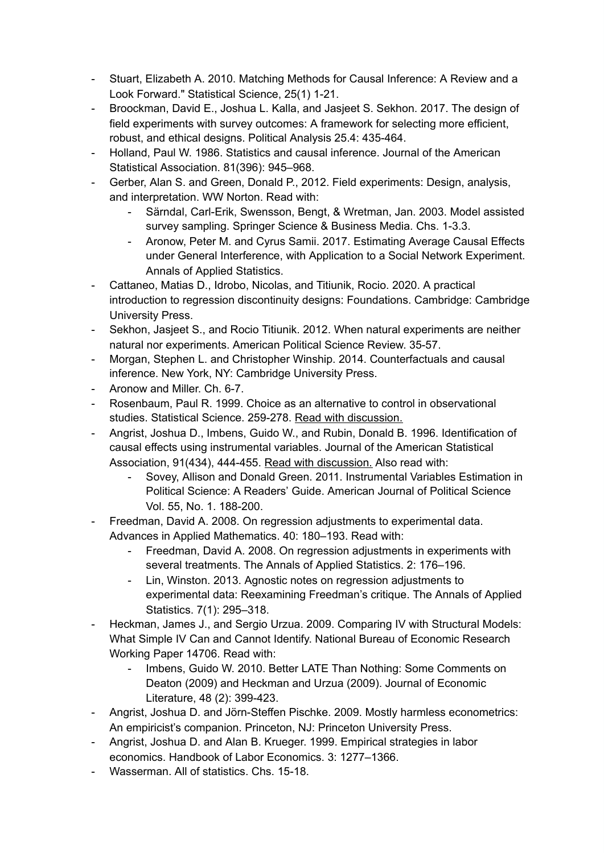- Stuart, Elizabeth A. 2010. Matching Methods for Causal Inference: A Review and a Look Forward." Statistical Science, 25(1) 1-21.
- Broockman, David E., Joshua L. Kalla, and Jasjeet S. Sekhon. 2017. The design of field experiments with survey outcomes: A framework for selecting more efficient, robust, and ethical designs. Political Analysis 25.4: 435-464.
- Holland, Paul W. 1986. Statistics and causal inference. Journal of the American Statistical Association. 81(396): 945–968.
- Gerber, Alan S. and Green, Donald P., 2012. Field experiments: Design, analysis, and interpretation. WW Norton. Read with:
	- Särndal, Carl-Erik, Swensson, Bengt, & Wretman, Jan. 2003. Model assisted survey sampling. Springer Science & Business Media. Chs. 1-3.3.
	- Aronow, Peter M. and Cyrus Samii. 2017. Estimating Average Causal Effects under General Interference, with Application to a Social Network Experiment. Annals of Applied Statistics.
- Cattaneo, Matias D., Idrobo, Nicolas, and Titiunik, Rocio. 2020. A practical introduction to regression discontinuity designs: Foundations. Cambridge: Cambridge University Press.
- Sekhon, Jasjeet S., and Rocio Titiunik. 2012. When natural experiments are neither natural nor experiments. American Political Science Review. 35-57.
- Morgan, Stephen L. and Christopher Winship. 2014. Counterfactuals and causal inference. New York, NY: Cambridge University Press.
- Aronow and Miller. Ch. 6-7.
- Rosenbaum, Paul R. 1999. Choice as an alternative to control in observational studies. Statistical Science. 259-278. Read with discussion.
- Angrist, Joshua D., Imbens, Guido W., and Rubin, Donald B. 1996. Identification of causal effects using instrumental variables. Journal of the American Statistical Association, 91(434), 444-455. Read with discussion. Also read with:
	- Sovey, Allison and Donald Green. 2011. Instrumental Variables Estimation in Political Science: A Readers' Guide. American Journal of Political Science Vol. 55, No. 1. 188-200.
- Freedman, David A. 2008. On regression adjustments to experimental data. Advances in Applied Mathematics. 40: 180–193. Read with:
	- Freedman, David A. 2008. On regression adjustments in experiments with several treatments. The Annals of Applied Statistics. 2: 176–196.
	- Lin, Winston. 2013. Agnostic notes on regression adjustments to experimental data: Reexamining Freedman's critique. The Annals of Applied Statistics. 7(1): 295–318.
- Heckman, James J., and Sergio Urzua. 2009. Comparing IV with Structural Models: What Simple IV Can and Cannot Identify. National Bureau of Economic Research Working Paper 14706. Read with:
	- Imbens, Guido W. 2010. Better LATE Than Nothing: Some Comments on Deaton (2009) and Heckman and Urzua (2009). Journal of Economic Literature, 48 (2): 399-423.
- Angrist, Joshua D. and Jörn-Steffen Pischke. 2009. Mostly harmless econometrics: An empiricist's companion. Princeton, NJ: Princeton University Press.
- Angrist, Joshua D. and Alan B. Krueger. 1999. Empirical strategies in labor economics. Handbook of Labor Economics. 3: 1277–1366.
- Wasserman. All of statistics. Chs. 15-18.